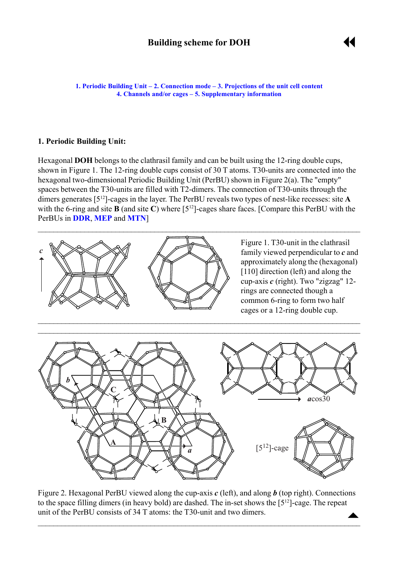

<span id="page-0-0"></span>**1. Periodic Building Unit – [2. Connection mode](#page-1-0) – [3. Projections of the unit cell content](#page-2-0) [4. Channels and/or cages](#page-3-0) ñ [5. Supplementary information](#page-3-0)**

# **1. Periodic Building Unit:**

Hexagonal **DOH** belongs to the clathrasil family and can be built using the 12-ring double cups, shown in Figure 1. The 12-ring double cups consist of 30 T atoms. T30-units are connected into the hexagonal two-dimensional Periodic Building Unit (PerBU) shown in Figure 2(a). The "empty" spaces between the T30-units are filled with T2-dimers. The connection of T30-units through the dimers generates [512]-cages in the layer. The PerBU reveals two types of nest-like recesses: site **A** with the 6-ring and site **B** (and site **C**) where [512]-cages share faces. [Compare this PerBU with the PerBUs in **[DDR](http://www.iza-structure.org/databases/ModelBuilding/DDR.pdf)**, **[MEP](http://www.iza-structure.org/databases/ModelBuilding/MEP.pdf)** and **[MTN](http://www.iza-structure.org/databases/ModelBuilding/MTN.pdf)**]



Figure 1. T30-unit in the clathrasil family viewed perpendicular to *c* and approximately along the (hexagonal) [110] direction (left) and along the cup-axis *c* (right). Two "zigzag" 12 rings are connected though a common 6-ring to form two half cages or a 12-ring double cup.



 $\blacktriangle$ Figure 2. Hexagonal PerBU viewed along the cup-axis *c* (left), and along *b* (top right). Connections to the space filling dimers (in heavy bold) are dashed. The in-set shows the [512]-cage. The repeat unit of the PerBU consists of 34 T atoms: the T30-unit and two dimers.

 $\overline{\phantom{a}}$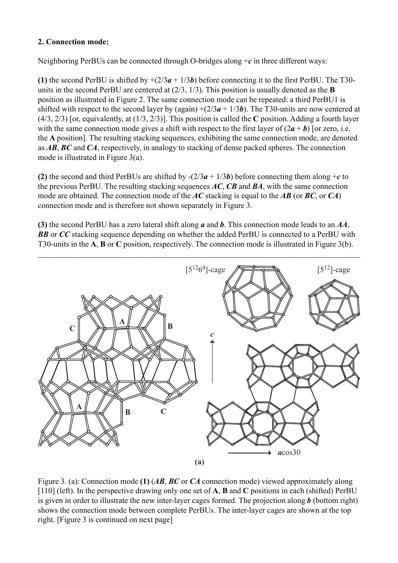# <span id="page-1-0"></span>**2. Connection mode:**

Neighboring PerBUs can be connected through O-bridges along +*c* in three different ways:

**(1)** the second PerBU is shifted by  $+(2/3a + 1/3b)$  before connecting it to the first PerBU. The T30units in the second PerBU are centered at (2/3, 1/3). This position is usually denoted as the **B** position as illustrated in Figure 2. The same connection mode can be repeated: a third PerBU1 is shifted with respect to the second layer by (again)  $+(2/3a + 1/3b)$ . The T30-units are now centered at (4/3, 2/3) [or, equivalently, at (1/3, 2/3)]. This position is called the **C** position. Adding a fourth layer with the same connection mode gives a shift with respect to the first layer of  $(2a + b)$  [or zero, i.e. the **A** position]. The resulting stacking sequences, exhibiting the same connection mode, are denoted as *AB*, *BC* and *CA*, respectively, in analogy to stacking of dense packed spheres. The connection mode is illustrated in Figure 3(a).

**(2)** the second and third PerBUs are shifted by  $-(2/3a + 1/3b)$  before connecting them along +*c* to the previous PerBU. The resulting stacking sequences *AC*, *CB* and *BA*, with the same connection mode are obtained. The connection mode of the *AC* stacking is equal to the *AB* (or *BC*, or *CA*) connection mode and is therefore not shown separately in Figure 3.

**(3)** the second PerBU has a zero lateral shift along *a* and *b*. This connection mode leads to an *AA*, **BB** or *CC* stacking sequence depending on whether the added PerBU is connected to a PerBU with T30-units in the **A**, **B** or **C** position, respectively. The connection mode is illustrated in Figure 3(b).



Figure 3. (a): Connection mode **(1)** (*AB*, *BC* or *CA* connection mode) viewed approximately along [110] (left). In the perspective drawing only one set of **A**, **B** and **C** positions in each (shifted) PerBU is given in order to illustrate the new inter-layer cages formed. The projection along *b* (bottom right) shows the connection mode between complete PerBUs. The inter-layer cages are shown at the top right. [Figure 3 is continued on next page]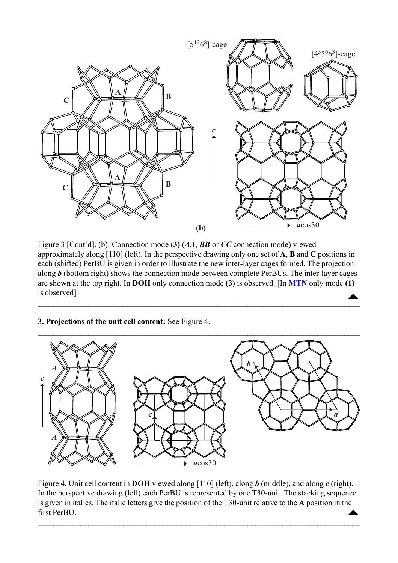<span id="page-2-0"></span>

Figure 3 [Cont'd]. (b): Connection mode (3)  $(AA, BB)$  or *CC* connection mode) viewed approximately along [110] (left). In the perspective drawing only one set of **A**, **B** and **C** positions in each (shifted) PerBU is given in order to illustrate the new inter-layer cages formed. The projection along *b* (bottom right) shows the connection mode between complete PerBUs. The inter-layer cages are shown at the top right. In **DOH** only connection mode **(3)** is observed. [In **[MTN](http://www.iza-structure.org/databases/ModelBuilding/MTN.pdf)** only mode **(1)** is observed]  $\blacktriangle$ 

 $\overline{\phantom{a}}$ 

# **3. Projections of the unit cell content:** See Figure 4.



 $\triangle$ Figure 4. Unit cell content in **DOH** viewed along [110] (left), along *b* (middle), and along *c* (right). In the perspective drawing (left) each PerBU is represented by one T30-unit. The stacking sequence is given in italics. The italic letters give the position of the T30-unit relative to the **A** position in the first PerBU.

 $\mathcal{L}_\mathcal{L} = \{ \mathcal{L}_\mathcal{L} = \{ \mathcal{L}_\mathcal{L} = \{ \mathcal{L}_\mathcal{L} = \{ \mathcal{L}_\mathcal{L} = \{ \mathcal{L}_\mathcal{L} = \{ \mathcal{L}_\mathcal{L} = \{ \mathcal{L}_\mathcal{L} = \{ \mathcal{L}_\mathcal{L} = \{ \mathcal{L}_\mathcal{L} = \{ \mathcal{L}_\mathcal{L} = \{ \mathcal{L}_\mathcal{L} = \{ \mathcal{L}_\mathcal{L} = \{ \mathcal{L}_\mathcal{L} = \{ \mathcal{L}_\mathcal{$